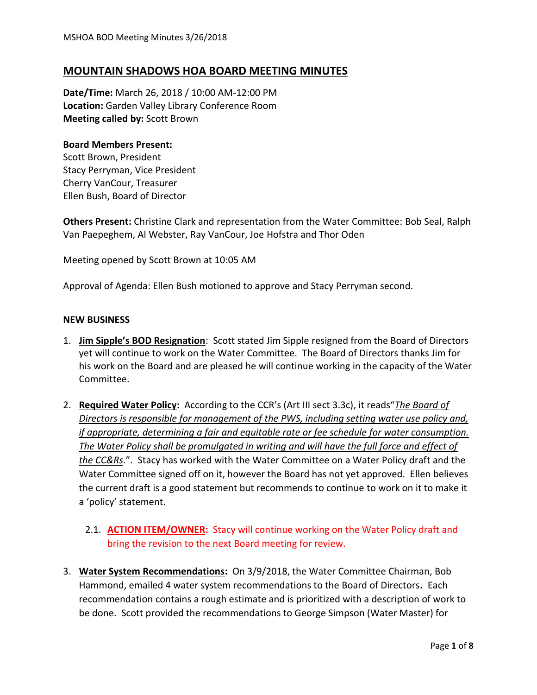## **MOUNTAIN SHADOWS HOA BOARD MEETING MINUTES**

**Date/Time:** March 26, 2018 / 10:00 AM-12:00 PM **Location:** Garden Valley Library Conference Room **Meeting called by:** Scott Brown

#### **Board Members Present:**

Scott Brown, President Stacy Perryman, Vice President Cherry VanCour, Treasurer Ellen Bush, Board of Director

**Others Present:** Christine Clark and representation from the Water Committee: Bob Seal, Ralph Van Paepeghem, Al Webster, Ray VanCour, Joe Hofstra and Thor Oden

Meeting opened by Scott Brown at 10:05 AM

Approval of Agenda: Ellen Bush motioned to approve and Stacy Perryman second.

#### **NEW BUSINESS**

- 1. **Jim Sipple's BOD Resignation**: Scott stated Jim Sipple resigned from the Board of Directors yet will continue to work on the Water Committee. The Board of Directors thanks Jim for his work on the Board and are pleased he will continue working in the capacity of the Water Committee.
- 2. **Required Water Policy:** According to the CCR's (Art III sect 3.3c), it reads"*The Board of Directors is responsible for management of the PWS, including setting water use policy and, if appropriate, determining a fair and equitable rate or fee schedule for water consumption. The Water Policy shall be promulgated in writing and will have the full force and effect of the CC&Rs*.". Stacy has worked with the Water Committee on a Water Policy draft and the Water Committee signed off on it, however the Board has not yet approved. Ellen believes the current draft is a good statement but recommends to continue to work on it to make it a 'policy' statement.

## 2.1. **ACTION ITEM/OWNER:** Stacy will continue working on the Water Policy draft and bring the revision to the next Board meeting for review.

3. **Water System Recommendations:** On 3/9/2018, the Water Committee Chairman, Bob Hammond, emailed 4 water system recommendations to the Board of Directors**.** Each recommendation contains a rough estimate and is prioritized with a description of work to be done. Scott provided the recommendations to George Simpson (Water Master) for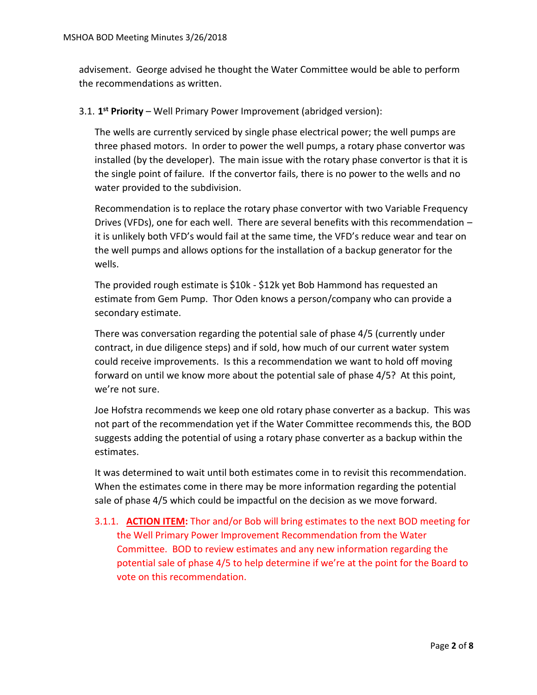advisement. George advised he thought the Water Committee would be able to perform the recommendations as written.

### 3.1. **1 st Priority** – Well Primary Power Improvement (abridged version):

The wells are currently serviced by single phase electrical power; the well pumps are three phased motors. In order to power the well pumps, a rotary phase convertor was installed (by the developer). The main issue with the rotary phase convertor is that it is the single point of failure. If the convertor fails, there is no power to the wells and no water provided to the subdivision.

Recommendation is to replace the rotary phase convertor with two Variable Frequency Drives (VFDs), one for each well. There are several benefits with this recommendation – it is unlikely both VFD's would fail at the same time, the VFD's reduce wear and tear on the well pumps and allows options for the installation of a backup generator for the wells.

The provided rough estimate is \$10k - \$12k yet Bob Hammond has requested an estimate from Gem Pump. Thor Oden knows a person/company who can provide a secondary estimate.

There was conversation regarding the potential sale of phase 4/5 (currently under contract, in due diligence steps) and if sold, how much of our current water system could receive improvements. Is this a recommendation we want to hold off moving forward on until we know more about the potential sale of phase 4/5? At this point, we're not sure.

Joe Hofstra recommends we keep one old rotary phase converter as a backup. This was not part of the recommendation yet if the Water Committee recommends this, the BOD suggests adding the potential of using a rotary phase converter as a backup within the estimates.

It was determined to wait until both estimates come in to revisit this recommendation. When the estimates come in there may be more information regarding the potential sale of phase 4/5 which could be impactful on the decision as we move forward.

3.1.1. **ACTION ITEM:** Thor and/or Bob will bring estimates to the next BOD meeting for the Well Primary Power Improvement Recommendation from the Water Committee. BOD to review estimates and any new information regarding the potential sale of phase 4/5 to help determine if we're at the point for the Board to vote on this recommendation.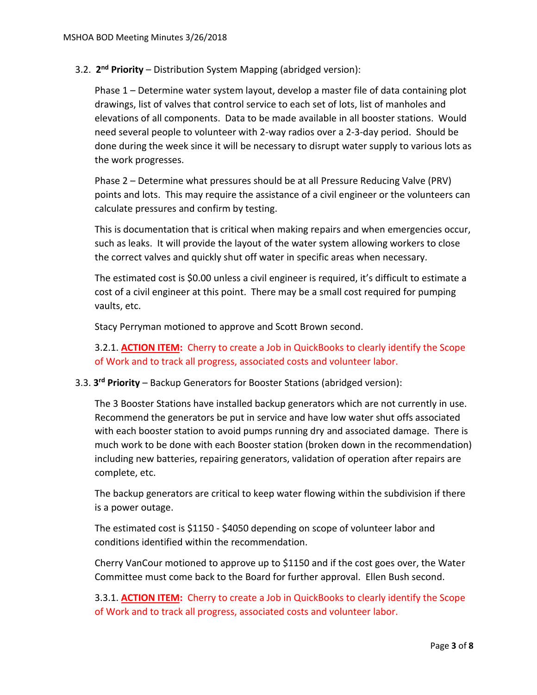3.2. **2 nd Priority** – Distribution System Mapping (abridged version):

Phase 1 – Determine water system layout, develop a master file of data containing plot drawings, list of valves that control service to each set of lots, list of manholes and elevations of all components. Data to be made available in all booster stations. Would need several people to volunteer with 2-way radios over a 2-3-day period. Should be done during the week since it will be necessary to disrupt water supply to various lots as the work progresses.

Phase 2 – Determine what pressures should be at all Pressure Reducing Valve (PRV) points and lots. This may require the assistance of a civil engineer or the volunteers can calculate pressures and confirm by testing.

This is documentation that is critical when making repairs and when emergencies occur, such as leaks. It will provide the layout of the water system allowing workers to close the correct valves and quickly shut off water in specific areas when necessary.

The estimated cost is \$0.00 unless a civil engineer is required, it's difficult to estimate a cost of a civil engineer at this point. There may be a small cost required for pumping vaults, etc.

Stacy Perryman motioned to approve and Scott Brown second.

3.2.1. **ACTION ITEM:** Cherry to create a Job in QuickBooks to clearly identify the Scope of Work and to track all progress, associated costs and volunteer labor.

## 3.3. **3 rd Priority** – Backup Generators for Booster Stations (abridged version):

The 3 Booster Stations have installed backup generators which are not currently in use. Recommend the generators be put in service and have low water shut offs associated with each booster station to avoid pumps running dry and associated damage. There is much work to be done with each Booster station (broken down in the recommendation) including new batteries, repairing generators, validation of operation after repairs are complete, etc.

The backup generators are critical to keep water flowing within the subdivision if there is a power outage.

The estimated cost is \$1150 - \$4050 depending on scope of volunteer labor and conditions identified within the recommendation.

Cherry VanCour motioned to approve up to \$1150 and if the cost goes over, the Water Committee must come back to the Board for further approval. Ellen Bush second.

3.3.1. **ACTION ITEM:** Cherry to create a Job in QuickBooks to clearly identify the Scope of Work and to track all progress, associated costs and volunteer labor.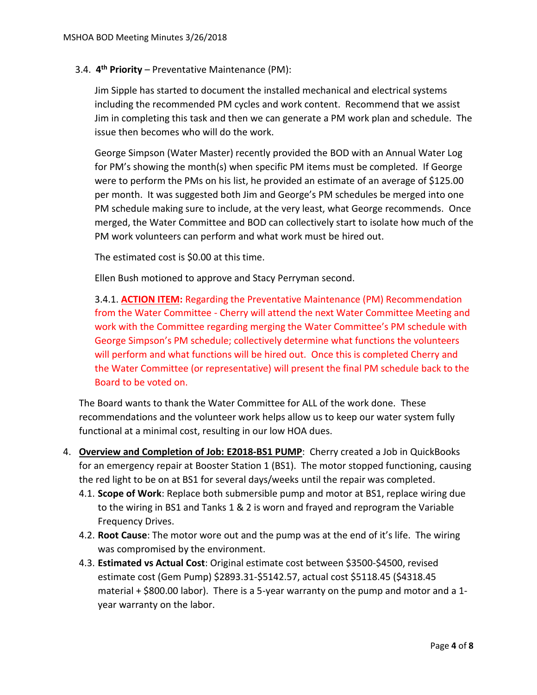3.4. **4 th Priority** – Preventative Maintenance (PM):

Jim Sipple has started to document the installed mechanical and electrical systems including the recommended PM cycles and work content. Recommend that we assist Jim in completing this task and then we can generate a PM work plan and schedule. The issue then becomes who will do the work.

George Simpson (Water Master) recently provided the BOD with an Annual Water Log for PM's showing the month(s) when specific PM items must be completed. If George were to perform the PMs on his list, he provided an estimate of an average of \$125.00 per month. It was suggested both Jim and George's PM schedules be merged into one PM schedule making sure to include, at the very least, what George recommends. Once merged, the Water Committee and BOD can collectively start to isolate how much of the PM work volunteers can perform and what work must be hired out.

The estimated cost is \$0.00 at this time.

Ellen Bush motioned to approve and Stacy Perryman second.

3.4.1. **ACTION ITEM:** Regarding the Preventative Maintenance (PM) Recommendation from the Water Committee - Cherry will attend the next Water Committee Meeting and work with the Committee regarding merging the Water Committee's PM schedule with George Simpson's PM schedule; collectively determine what functions the volunteers will perform and what functions will be hired out. Once this is completed Cherry and the Water Committee (or representative) will present the final PM schedule back to the Board to be voted on.

The Board wants to thank the Water Committee for ALL of the work done. These recommendations and the volunteer work helps allow us to keep our water system fully functional at a minimal cost, resulting in our low HOA dues.

- 4. **Overview and Completion of Job: E2018-BS1 PUMP**: Cherry created a Job in QuickBooks for an emergency repair at Booster Station 1 (BS1). The motor stopped functioning, causing the red light to be on at BS1 for several days/weeks until the repair was completed.
	- 4.1. **Scope of Work**: Replace both submersible pump and motor at BS1, replace wiring due to the wiring in BS1 and Tanks 1 & 2 is worn and frayed and reprogram the Variable Frequency Drives.
	- 4.2. **Root Cause**: The motor wore out and the pump was at the end of it's life. The wiring was compromised by the environment.
	- 4.3. **Estimated vs Actual Cost**: Original estimate cost between \$3500-\$4500, revised estimate cost (Gem Pump) \$2893.31-\$5142.57, actual cost \$5118.45 (\$4318.45 material + \$800.00 labor). There is a 5-year warranty on the pump and motor and a 1 year warranty on the labor.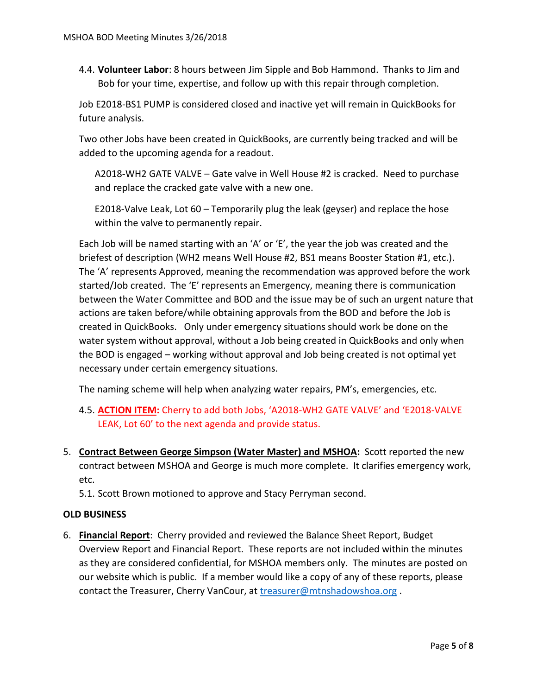4.4. **Volunteer Labor**: 8 hours between Jim Sipple and Bob Hammond. Thanks to Jim and Bob for your time, expertise, and follow up with this repair through completion.

Job E2018-BS1 PUMP is considered closed and inactive yet will remain in QuickBooks for future analysis.

Two other Jobs have been created in QuickBooks, are currently being tracked and will be added to the upcoming agenda for a readout.

A2018-WH2 GATE VALVE – Gate valve in Well House #2 is cracked. Need to purchase and replace the cracked gate valve with a new one.

E2018-Valve Leak, Lot 60 – Temporarily plug the leak (geyser) and replace the hose within the valve to permanently repair.

Each Job will be named starting with an 'A' or 'E', the year the job was created and the briefest of description (WH2 means Well House #2, BS1 means Booster Station #1, etc.). The 'A' represents Approved, meaning the recommendation was approved before the work started/Job created. The 'E' represents an Emergency, meaning there is communication between the Water Committee and BOD and the issue may be of such an urgent nature that actions are taken before/while obtaining approvals from the BOD and before the Job is created in QuickBooks. Only under emergency situations should work be done on the water system without approval, without a Job being created in QuickBooks and only when the BOD is engaged – working without approval and Job being created is not optimal yet necessary under certain emergency situations.

The naming scheme will help when analyzing water repairs, PM's, emergencies, etc.

# 4.5. **ACTION ITEM:** Cherry to add both Jobs, 'A2018-WH2 GATE VALVE' and 'E2018-VALVE LEAK, Lot 60' to the next agenda and provide status.

5. **Contract Between George Simpson (Water Master) and MSHOA:** Scott reported the new contract between MSHOA and George is much more complete. It clarifies emergency work, etc.

5.1. Scott Brown motioned to approve and Stacy Perryman second.

#### **OLD BUSINESS**

6. **Financial Report**: Cherry provided and reviewed the Balance Sheet Report, Budget Overview Report and Financial Report. These reports are not included within the minutes as they are considered confidential, for MSHOA members only. The minutes are posted on our website which is public. If a member would like a copy of any of these reports, please contact the Treasurer, Cherry VanCour, at [treasurer@mtnshadowshoa.org](mailto:treasurer@mtnshadowshoa.org).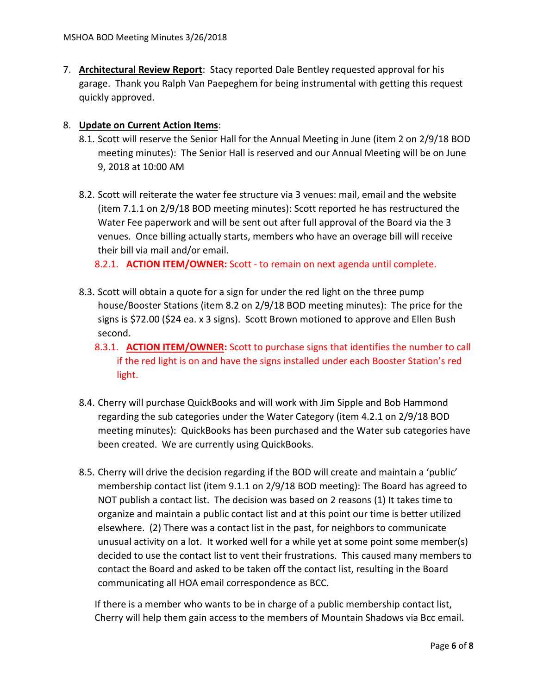7. **Architectural Review Report**: Stacy reported Dale Bentley requested approval for his garage. Thank you Ralph Van Paepeghem for being instrumental with getting this request quickly approved.

### 8. **Update on Current Action Items**:

- 8.1. Scott will reserve the Senior Hall for the Annual Meeting in June (item 2 on 2/9/18 BOD meeting minutes): The Senior Hall is reserved and our Annual Meeting will be on June 9, 2018 at 10:00 AM
- 8.2. Scott will reiterate the water fee structure via 3 venues: mail, email and the website (item 7.1.1 on 2/9/18 BOD meeting minutes): Scott reported he has restructured the Water Fee paperwork and will be sent out after full approval of the Board via the 3 venues. Once billing actually starts, members who have an overage bill will receive their bill via mail and/or email.

8.2.1. **ACTION ITEM/OWNER:** Scott - to remain on next agenda until complete.

- 8.3. Scott will obtain a quote for a sign for under the red light on the three pump house/Booster Stations (item 8.2 on 2/9/18 BOD meeting minutes): The price for the signs is \$72.00 (\$24 ea. x 3 signs). Scott Brown motioned to approve and Ellen Bush second.
	- 8.3.1. **ACTION ITEM/OWNER:** Scott to purchase signs that identifies the number to call if the red light is on and have the signs installed under each Booster Station's red light.
- 8.4. Cherry will purchase QuickBooks and will work with Jim Sipple and Bob Hammond regarding the sub categories under the Water Category (item 4.2.1 on 2/9/18 BOD meeting minutes): QuickBooks has been purchased and the Water sub categories have been created. We are currently using QuickBooks.
- 8.5. Cherry will drive the decision regarding if the BOD will create and maintain a 'public' membership contact list (item 9.1.1 on 2/9/18 BOD meeting): The Board has agreed to NOT publish a contact list. The decision was based on 2 reasons (1) It takes time to organize and maintain a public contact list and at this point our time is better utilized elsewhere. (2) There was a contact list in the past, for neighbors to communicate unusual activity on a lot. It worked well for a while yet at some point some member(s) decided to use the contact list to vent their frustrations. This caused many members to contact the Board and asked to be taken off the contact list, resulting in the Board communicating all HOA email correspondence as BCC.

If there is a member who wants to be in charge of a public membership contact list, Cherry will help them gain access to the members of Mountain Shadows via Bcc email.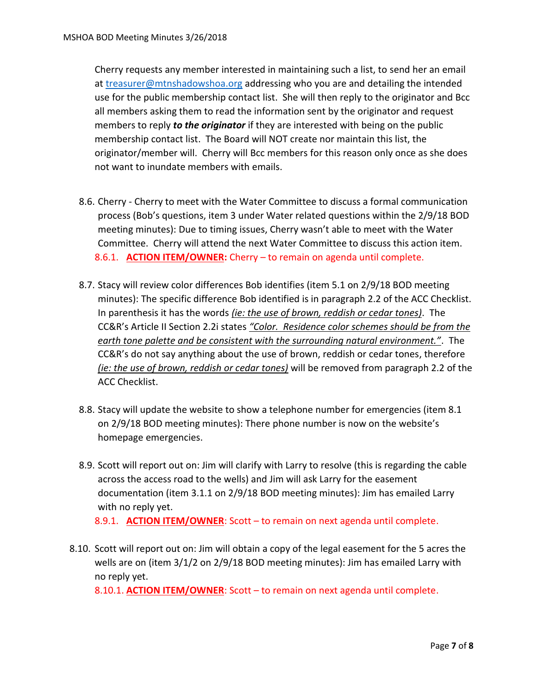Cherry requests any member interested in maintaining such a list, to send her an email at [treasurer@mtnshadowshoa.org](mailto:treasurer@mtnshadowshoa.org) addressing who you are and detailing the intended use for the public membership contact list. She will then reply to the originator and Bcc all members asking them to read the information sent by the originator and request members to reply *to the originator* if they are interested with being on the public membership contact list. The Board will NOT create nor maintain this list, the originator/member will. Cherry will Bcc members for this reason only once as she does not want to inundate members with emails.

- 8.6. Cherry Cherry to meet with the Water Committee to discuss a formal communication process (Bob's questions, item 3 under Water related questions within the 2/9/18 BOD meeting minutes): Due to timing issues, Cherry wasn't able to meet with the Water Committee. Cherry will attend the next Water Committee to discuss this action item. 8.6.1. **ACTION ITEM/OWNER:** Cherry – to remain on agenda until complete.
- 8.7. Stacy will review color differences Bob identifies (item 5.1 on 2/9/18 BOD meeting minutes): The specific difference Bob identified is in paragraph 2.2 of the ACC Checklist. In parenthesis it has the words *(ie: the use of brown, reddish or cedar tones)*. The CC&R's Article II Section 2.2i states *"Color. Residence color schemes should be from the earth tone palette and be consistent with the surrounding natural environment."*. The CC&R's do not say anything about the use of brown, reddish or cedar tones, therefore *(ie: the use of brown, reddish or cedar tones)* will be removed from paragraph 2.2 of the ACC Checklist.
- 8.8. Stacy will update the website to show a telephone number for emergencies (item 8.1 on 2/9/18 BOD meeting minutes): There phone number is now on the website's homepage emergencies.
- 8.9. Scott will report out on: Jim will clarify with Larry to resolve (this is regarding the cable across the access road to the wells) and Jim will ask Larry for the easement documentation (item 3.1.1 on 2/9/18 BOD meeting minutes): Jim has emailed Larry with no reply yet.

8.9.1. **ACTION ITEM/OWNER**: Scott – to remain on next agenda until complete.

8.10. Scott will report out on: Jim will obtain a copy of the legal easement for the 5 acres the wells are on (item 3/1/2 on 2/9/18 BOD meeting minutes): Jim has emailed Larry with no reply yet.

8.10.1. **ACTION ITEM/OWNER**: Scott – to remain on next agenda until complete.